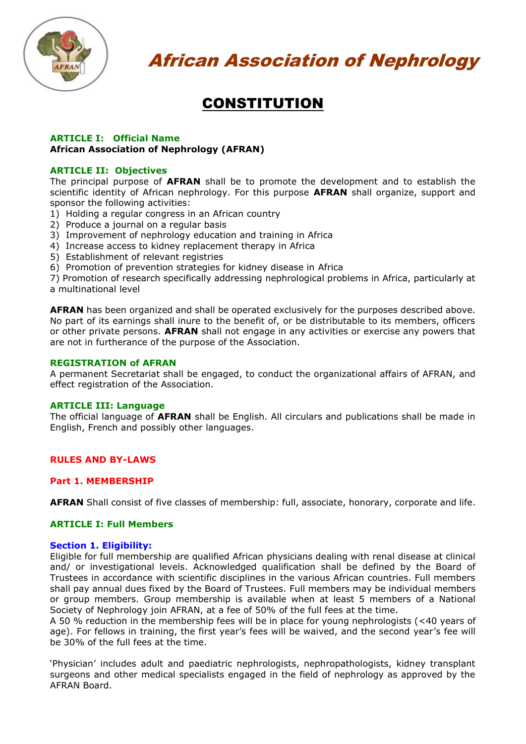

# **CONSTITUTION**

#### **ARTICLE I: Official Name African Association of Nephrology (AFRAN)**

#### **ARTICLE II: Objectives**

The principal purpose of **AFRAN** shall be to promote the development and to establish the scientific identity of African nephrology. For this purpose **AFRAN** shall organize, support and sponsor the following activities:

- 1) Holding a regular congress in an African country
- 2) Produce a journal on a regular basis
- 3) Improvement of nephrology education and training in Africa
- 4) Increase access to kidney replacement therapy in Africa
- 5) Establishment of relevant registries
- 6) Promotion of prevention strategies for kidney disease in Africa

7) Promotion of research specifically addressing nephrological problems in Africa, particularly at a multinational level

**AFRAN** has been organized and shall be operated exclusively for the purposes described above. No part of its earnings shall inure to the benefit of, or be distributable to its members, officers or other private persons. **AFRAN** shall not engage in any activities or exercise any powers that are not in furtherance of the purpose of the Association.

#### **REGISTRATION of AFRAN**

A permanent Secretariat shall be engaged, to conduct the organizational affairs of AFRAN, and effect registration of the Association.

#### **ARTICLE III: Language**

The official language of **AFRAN** shall be English. All circulars and publications shall be made in English, French and possibly other languages.

# **RULES AND BY-LAWS**

# **Part 1. MEMBERSHIP**

**AFRAN** Shall consist of five classes of membership: full, associate, honorary, corporate and life.

#### **ARTICLE I: Full Members**

#### **Section 1. Eligibility:**

Eligible for full membership are qualified African physicians dealing with renal disease at clinical and/ or investigational levels. Acknowledged qualification shall be defined by the Board of Trustees in accordance with scientific disciplines in the various African countries. Full members shall pay annual dues fixed by the Board of Trustees. Full members may be individual members or group members. Group membership is available when at least 5 members of a National Society of Nephrology join AFRAN, at a fee of 50% of the full fees at the time.

A 50 % reduction in the membership fees will be in place for young nephrologists (<40 years of age). For fellows in training, the first year's fees will be waived, and the second year's fee will be 30% of the full fees at the time.

'Physician' includes adult and paediatric nephrologists, nephropathologists, kidney transplant surgeons and other medical specialists engaged in the field of nephrology as approved by the AFRAN Board.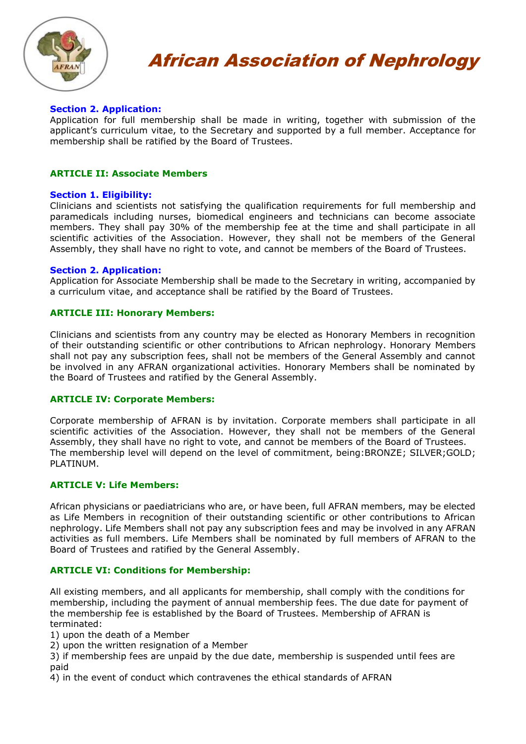

# **Section 2. Application:**

Application for full membership shall be made in writing, together with submission of the applicant's curriculum vitae, to the Secretary and supported by a full member. Acceptance for membership shall be ratified by the Board of Trustees.

# **ARTICLE II: Associate Members**

# **Section 1. Eligibility:**

Clinicians and scientists not satisfying the qualification requirements for full membership and paramedicals including nurses, biomedical engineers and technicians can become associate members. They shall pay 30% of the membership fee at the time and shall participate in all scientific activities of the Association. However, they shall not be members of the General Assembly, they shall have no right to vote, and cannot be members of the Board of Trustees.

# **Section 2. Application:**

Application for Associate Membership shall be made to the Secretary in writing, accompanied by a curriculum vitae, and acceptance shall be ratified by the Board of Trustees.

# **ARTICLE III: Honorary Members:**

Clinicians and scientists from any country may be elected as Honorary Members in recognition of their outstanding scientific or other contributions to African nephrology. Honorary Members shall not pay any subscription fees, shall not be members of the General Assembly and cannot be involved in any AFRAN organizational activities. Honorary Members shall be nominated by the Board of Trustees and ratified by the General Assembly.

# **ARTICLE IV: Corporate Members:**

Corporate membership of AFRAN is by invitation. Corporate members shall participate in all scientific activities of the Association. However, they shall not be members of the General Assembly, they shall have no right to vote, and cannot be members of the Board of Trustees. The membership level will depend on the level of commitment, being:BRONZE; SILVER;GOLD; PLATINUM.

# **ARTICLE V: Life Members:**

African physicians or paediatricians who are, or have been, full AFRAN members, may be elected as Life Members in recognition of their outstanding scientific or other contributions to African nephrology. Life Members shall not pay any subscription fees and may be involved in any AFRAN activities as full members. Life Members shall be nominated by full members of AFRAN to the Board of Trustees and ratified by the General Assembly.

# **ARTICLE VI: Conditions for Membership:**

All existing members, and all applicants for membership, shall comply with the conditions for membership, including the payment of annual membership fees. The due date for payment of the membership fee is established by the Board of Trustees. Membership of AFRAN is terminated:

1) upon the death of a Member

2) upon the written resignation of a Member

3) if membership fees are unpaid by the due date, membership is suspended until fees are paid

4) in the event of conduct which contravenes the ethical standards of AFRAN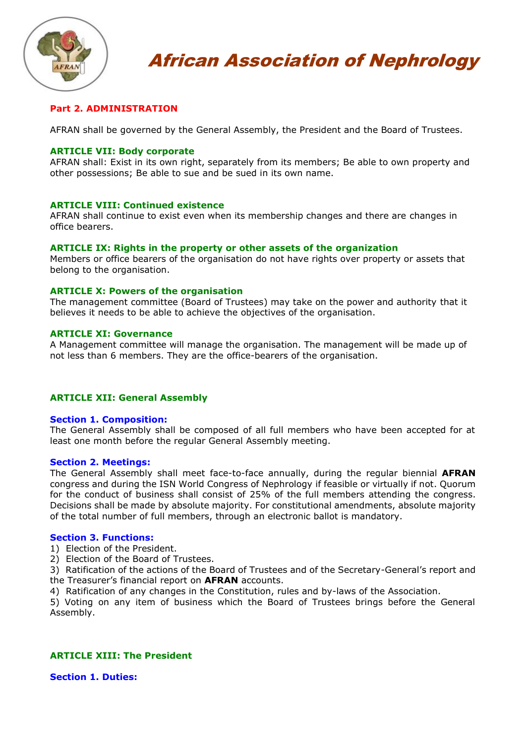

# **Part 2. ADMINISTRATION**

AFRAN shall be governed by the General Assembly, the President and the Board of Trustees.

# **ARTICLE VII: Body corporate**

AFRAN shall: Exist in its own right, separately from its members; Be able to own property and other possessions; Be able to sue and be sued in its own name.

#### **ARTICLE VIII: Continued existence**

AFRAN shall continue to exist even when its membership changes and there are changes in office bearers.

#### **ARTICLE IX: Rights in the property or other assets of the organization**

Members or office bearers of the organisation do not have rights over property or assets that belong to the organisation.

#### **ARTICLE X: Powers of the organisation**

The management committee (Board of Trustees) may take on the power and authority that it believes it needs to be able to achieve the objectives of the organisation.

#### **ARTICLE XI: Governance**

A Management committee will manage the organisation. The management will be made up of not less than 6 members. They are the office-bearers of the organisation.

# **ARTICLE XII: General Assembly**

#### **Section 1. Composition:**

The General Assembly shall be composed of all full members who have been accepted for at least one month before the regular General Assembly meeting.

#### **Section 2. Meetings:**

The General Assembly shall meet face-to-face annually, during the regular biennial **AFRAN** congress and during the ISN World Congress of Nephrology if feasible or virtually if not. Quorum for the conduct of business shall consist of 25% of the full members attending the congress. Decisions shall be made by absolute majority. For constitutional amendments, absolute majority of the total number of full members, through an electronic ballot is mandatory.

#### **Section 3. Functions:**

1) Election of the President.

- 2) Election of the Board of Trustees.
- 3) Ratification of the actions of the Board of Trustees and of the Secretary-General's report and the Treasurer's financial report on **AFRAN** accounts.

4) Ratification of any changes in the Constitution, rules and by-laws of the Association.

5) Voting on any item of business which the Board of Trustees brings before the General Assembly.

# **ARTICLE XIII: The President**

**Section 1. Duties:**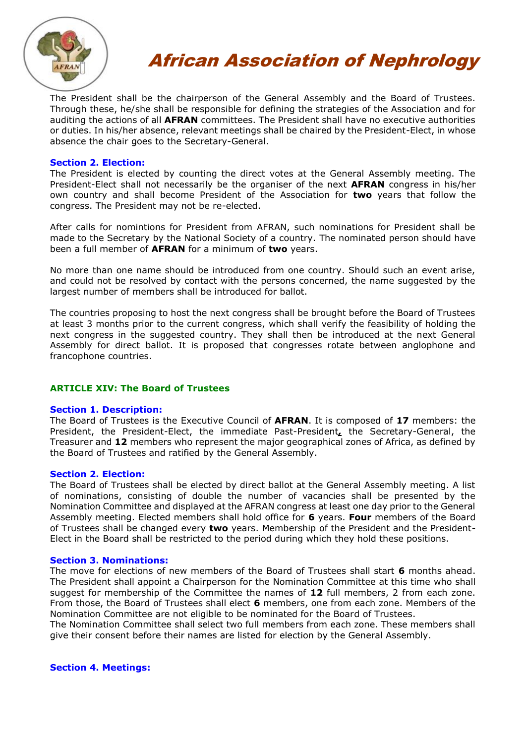

The President shall be the chairperson of the General Assembly and the Board of Trustees. Through these, he/she shall be responsible for defining the strategies of the Association and for auditing the actions of all **AFRAN** committees. The President shall have no executive authorities or duties. In his/her absence, relevant meetings shall be chaired by the President-Elect, in whose absence the chair goes to the Secretary-General.

# **Section 2. Election:**

The President is elected by counting the direct votes at the General Assembly meeting. The President-Elect shall not necessarily be the organiser of the next **AFRAN** congress in his/her own country and shall become President of the Association for **two** years that follow the congress. The President may not be re-elected.

After calls for nomintions for President from AFRAN, such nominations for President shall be made to the Secretary by the National Society of a country. The nominated person should have been a full member of **AFRAN** for a minimum of **two** years.

No more than one name should be introduced from one country. Should such an event arise, and could not be resolved by contact with the persons concerned, the name suggested by the largest number of members shall be introduced for ballot.

The countries proposing to host the next congress shall be brought before the Board of Trustees at least 3 months prior to the current congress, which shall verify the feasibility of holding the next congress in the suggested country. They shall then be introduced at the next General Assembly for direct ballot. It is proposed that congresses rotate between anglophone and francophone countries.

# **ARTICLE XIV: The Board of Trustees**

# **Section 1. Description:**

The Board of Trustees is the Executive Council of **AFRAN**. It is composed of **17** members: the President, the President-Elect, the immediate Past-President*,* the Secretary-General, the Treasurer and **12** members who represent the major geographical zones of Africa, as defined by the Board of Trustees and ratified by the General Assembly.

# **Section 2. Election:**

The Board of Trustees shall be elected by direct ballot at the General Assembly meeting. A list of nominations, consisting of double the number of vacancies shall be presented by the Nomination Committee and displayed at the AFRAN congress at least one day prior to the General Assembly meeting. Elected members shall hold office for **6** years. **Four** members of the Board of Trustees shall be changed every **two** years. Membership of the President and the President-Elect in the Board shall be restricted to the period during which they hold these positions.

# **Section 3. Nominations:**

The move for elections of new members of the Board of Trustees shall start **6** months ahead. The President shall appoint a Chairperson for the Nomination Committee at this time who shall suggest for membership of the Committee the names of **12** full members, 2 from each zone. From those, the Board of Trustees shall elect **6** members, one from each zone. Members of the Nomination Committee are not eligible to be nominated for the Board of Trustees.

The Nomination Committee shall select two full members from each zone. These members shall give their consent before their names are listed for election by the General Assembly.

# **Section 4. Meetings:**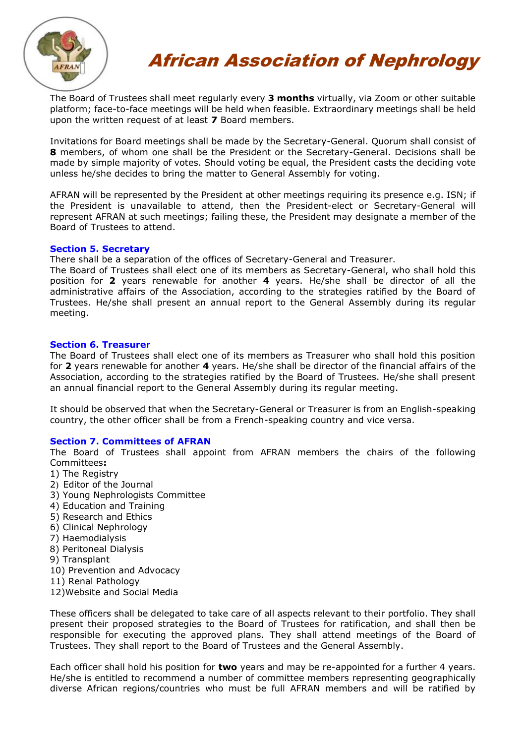

The Board of Trustees shall meet regularly every **3 months** virtually, via Zoom or other suitable platform; face-to-face meetings will be held when feasible. Extraordinary meetings shall be held upon the written request of at least **7** Board members.

Invitations for Board meetings shall be made by the Secretary-General. Quorum shall consist of **8** members, of whom one shall be the President or the Secretary-General. Decisions shall be made by simple majority of votes. Should voting be equal, the President casts the deciding vote unless he/she decides to bring the matter to General Assembly for voting.

AFRAN will be represented by the President at other meetings requiring its presence e.g. ISN; if the President is unavailable to attend, then the President-elect or Secretary-General will represent AFRAN at such meetings; failing these, the President may designate a member of the Board of Trustees to attend.

# **Section 5. Secretary**

There shall be a separation of the offices of Secretary-General and Treasurer.

The Board of Trustees shall elect one of its members as Secretary-General, who shall hold this position for **2** years renewable for another **4** years. He/she shall be director of all the administrative affairs of the Association, according to the strategies ratified by the Board of Trustees. He/she shall present an annual report to the General Assembly during its regular meeting.

# **Section 6. Treasurer**

The Board of Trustees shall elect one of its members as Treasurer who shall hold this position for **2** years renewable for another **4** years. He/she shall be director of the financial affairs of the Association, according to the strategies ratified by the Board of Trustees. He/she shall present an annual financial report to the General Assembly during its regular meeting.

It should be observed that when the Secretary-General or Treasurer is from an English-speaking country, the other officer shall be from a French-speaking country and vice versa.

# **Section 7. Committees of AFRAN**

The Board of Trustees shall appoint from AFRAN members the chairs of the following Committees**:**

- 1) The Registry
- 2) Editor of the Journal
- 3) Young Nephrologists Committee
- 4) Education and Training
- 5) Research and Ethics
- 6) Clinical Nephrology
- 7) Haemodialysis
- 8) Peritoneal Dialysis
- 9) Transplant
- 10) Prevention and Advocacy
- 11) Renal Pathology
- 12)Website and Social Media

These officers shall be delegated to take care of all aspects relevant to their portfolio. They shall present their proposed strategies to the Board of Trustees for ratification, and shall then be responsible for executing the approved plans. They shall attend meetings of the Board of Trustees. They shall report to the Board of Trustees and the General Assembly.

Each officer shall hold his position for **two** years and may be re-appointed for a further 4 years. He/she is entitled to recommend a number of committee members representing geographically diverse African regions/countries who must be full AFRAN members and will be ratified by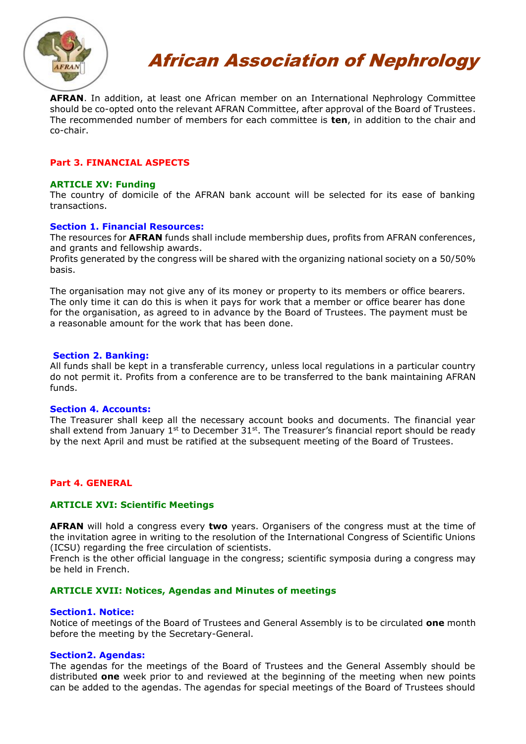

**AFRAN**. In addition, at least one African member on an International Nephrology Committee should be co-opted onto the relevant AFRAN Committee, after approval of the Board of Trustees. The recommended number of members for each committee is **ten**, in addition to the chair and co-chair.

# **Part 3. FINANCIAL ASPECTS**

#### **ARTICLE XV: Funding**

The country of domicile of the AFRAN bank account will be selected for its ease of banking transactions.

#### **Section 1. Financial Resources:**

The resources for **AFRAN** funds shall include membership dues, profits from AFRAN conferences, and grants and fellowship awards.

Profits generated by the congress will be shared with the organizing national society on a 50/50% basis.

The organisation may not give any of its money or property to its members or office bearers. The only time it can do this is when it pays for work that a member or office bearer has done for the organisation, as agreed to in advance by the Board of Trustees. The payment must be a reasonable amount for the work that has been done.

#### **Section 2. Banking:**

All funds shall be kept in a transferable currency, unless local regulations in a particular country do not permit it. Profits from a conference are to be transferred to the bank maintaining AFRAN funds.

#### **Section 4. Accounts:**

The Treasurer shall keep all the necessary account books and documents. The financial year shall extend from January 1<sup>st</sup> to December  $31<sup>st</sup>$ . The Treasurer's financial report should be ready by the next April and must be ratified at the subsequent meeting of the Board of Trustees.

# **Part 4. GENERAL**

# **ARTICLE XVI: Scientific Meetings**

**AFRAN** will hold a congress every **two** years. Organisers of the congress must at the time of the invitation agree in writing to the resolution of the International Congress of Scientific Unions (ICSU) regarding the free circulation of scientists.

French is the other official language in the congress; scientific symposia during a congress may be held in French.

#### **ARTICLE XVII: Notices, Agendas and Minutes of meetings**

#### **Section1. Notice:**

Notice of meetings of the Board of Trustees and General Assembly is to be circulated **one** month before the meeting by the Secretary-General.

#### **Section2. Agendas:**

The agendas for the meetings of the Board of Trustees and the General Assembly should be distributed **one** week prior to and reviewed at the beginning of the meeting when new points can be added to the agendas. The agendas for special meetings of the Board of Trustees should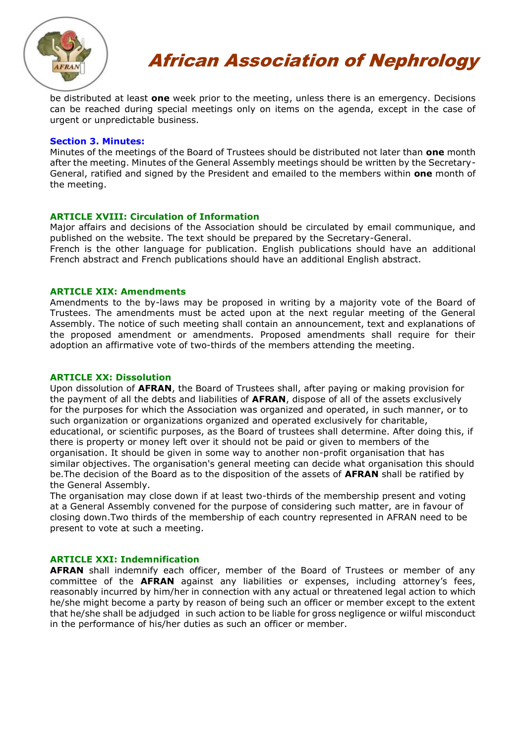

be distributed at least **one** week prior to the meeting, unless there is an emergency. Decisions can be reached during special meetings only on items on the agenda, except in the case of urgent or unpredictable business.

#### **Section 3. Minutes:**

Minutes of the meetings of the Board of Trustees should be distributed not later than **one** month after the meeting. Minutes of the General Assembly meetings should be written by the Secretary-General, ratified and signed by the President and emailed to the members within **one** month of the meeting.

# **ARTICLE XVIII: Circulation of Information**

Major affairs and decisions of the Association should be circulated by email communique, and published on the website. The text should be prepared by the Secretary-General. French is the other language for publication. English publications should have an additional French abstract and French publications should have an additional English abstract.

# **ARTICLE XIX: Amendments**

Amendments to the by-laws may be proposed in writing by a majority vote of the Board of Trustees. The amendments must be acted upon at the next regular meeting of the General Assembly. The notice of such meeting shall contain an announcement, text and explanations of the proposed amendment or amendments. Proposed amendments shall require for their adoption an affirmative vote of two-thirds of the members attending the meeting.

# **ARTICLE XX: Dissolution**

Upon dissolution of **AFRAN**, the Board of Trustees shall, after paying or making provision for the payment of all the debts and liabilities of **AFRAN**, dispose of all of the assets exclusively for the purposes for which the Association was organized and operated, in such manner, or to such organization or organizations organized and operated exclusively for charitable, educational, or scientific purposes, as the Board of trustees shall determine. After doing this, if there is property or money left over it should not be paid or given to members of the organisation. It should be given in some way to another non-profit organisation that has similar objectives. The organisation's general meeting can decide what organisation this should be.The decision of the Board as to the disposition of the assets of **AFRAN** shall be ratified by the General Assembly.

The organisation may close down if at least two-thirds of the membership present and voting at a General Assembly convened for the purpose of considering such matter, are in favour of closing down.Two thirds of the membership of each country represented in AFRAN need to be present to vote at such a meeting.

# **ARTICLE XXI: Indemnification**

**AFRAN** shall indemnify each officer, member of the Board of Trustees or member of any committee of the **AFRAN** against any liabilities or expenses, including attorney's fees, reasonably incurred by him/her in connection with any actual or threatened legal action to which he/she might become a party by reason of being such an officer or member except to the extent that he/she shall be adjudged in such action to be liable for gross negligence or wilful misconduct in the performance of his/her duties as such an officer or member.